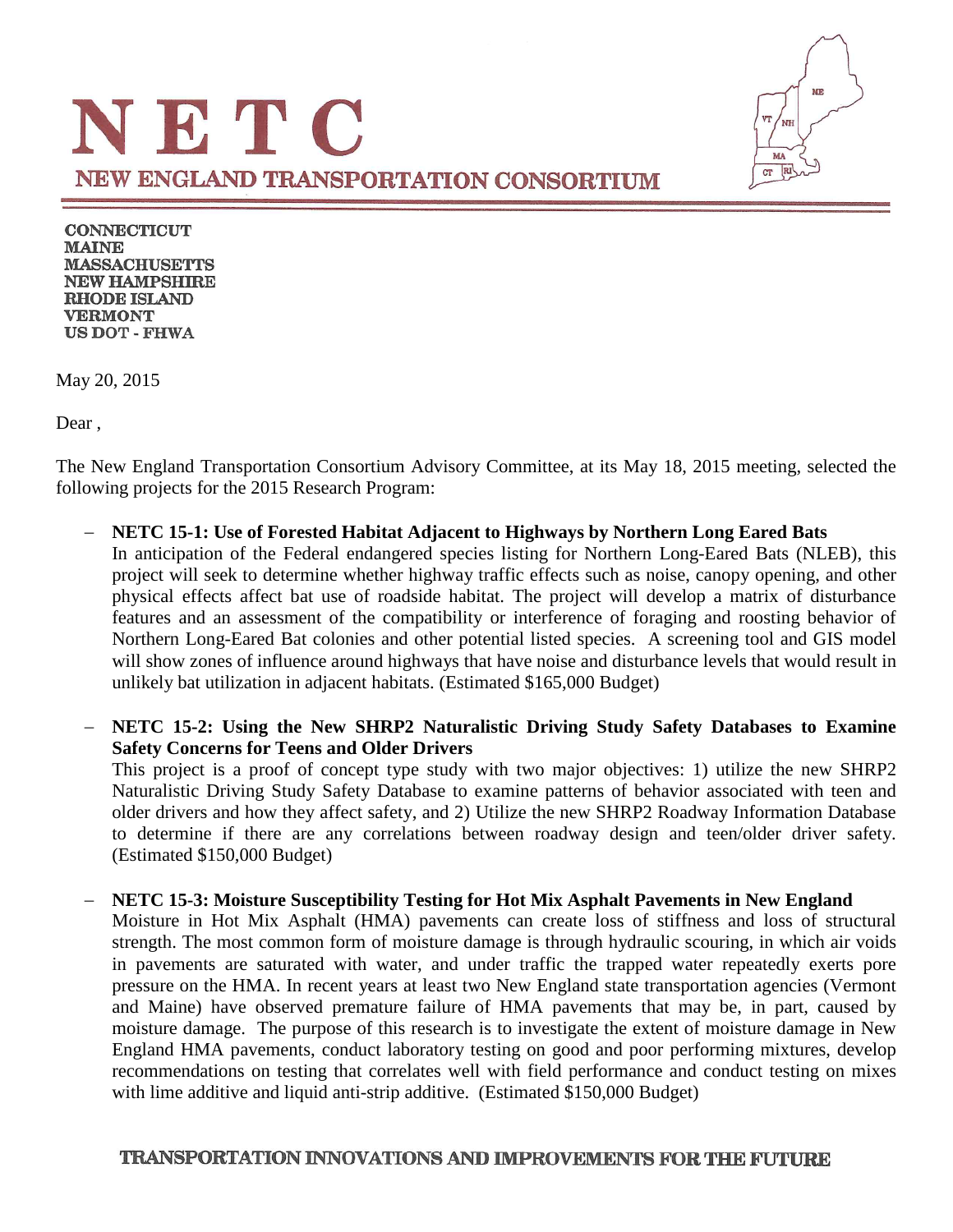

**CONNECTICUT MAINE MASSACHUSETTS NEW HAMPSHIRE RHODE ISLAND VERMONT US DOT - FHWA** 

May 20, 2015

Dear ,

The New England Transportation Consortium Advisory Committee, at its May 18, 2015 meeting, selected the following projects for the 2015 Research Program:

− **NETC 15-1: Use of Forested Habitat Adjacent to Highways by Northern Long Eared Bats** In anticipation of the Federal endangered species listing for Northern Long-Eared Bats (NLEB), this project will seek to determine whether highway traffic effects such as noise, canopy opening, and other physical effects affect bat use of roadside habitat. The project will develop a matrix of disturbance features and an assessment of the compatibility or interference of foraging and roosting behavior of Northern Long-Eared Bat colonies and other potential listed species. A screening tool and GIS model will show zones of influence around highways that have noise and disturbance levels that would result in unlikely bat utilization in adjacent habitats. (Estimated \$165,000 Budget)

− **NETC 15-2: Using the New SHRP2 Naturalistic Driving Study Safety Databases to Examine Safety Concerns for Teens and Older Drivers**

This project is a proof of concept type study with two major objectives: 1) utilize the new SHRP2 Naturalistic Driving Study Safety Database to examine patterns of behavior associated with teen and older drivers and how they affect safety, and 2) Utilize the new SHRP2 Roadway Information Database to determine if there are any correlations between roadway design and teen/older driver safety. (Estimated \$150,000 Budget)

− **NETC 15-3: Moisture Susceptibility Testing for Hot Mix Asphalt Pavements in New England** Moisture in Hot Mix Asphalt (HMA) pavements can create loss of stiffness and loss of structural strength. The most common form of moisture damage is through hydraulic scouring, in which air voids in pavements are saturated with water, and under traffic the trapped water repeatedly exerts pore pressure on the HMA. In recent years at least two New England state transportation agencies (Vermont and Maine) have observed premature failure of HMA pavements that may be, in part, caused by moisture damage. The purpose of this research is to investigate the extent of moisture damage in New England HMA pavements, conduct laboratory testing on good and poor performing mixtures, develop recommendations on testing that correlates well with field performance and conduct testing on mixes with lime additive and liquid anti-strip additive. (Estimated \$150,000 Budget)

### TRANSPORTATION INNOVATIONS AND IMPROVEMENTS FOR THE FUTURE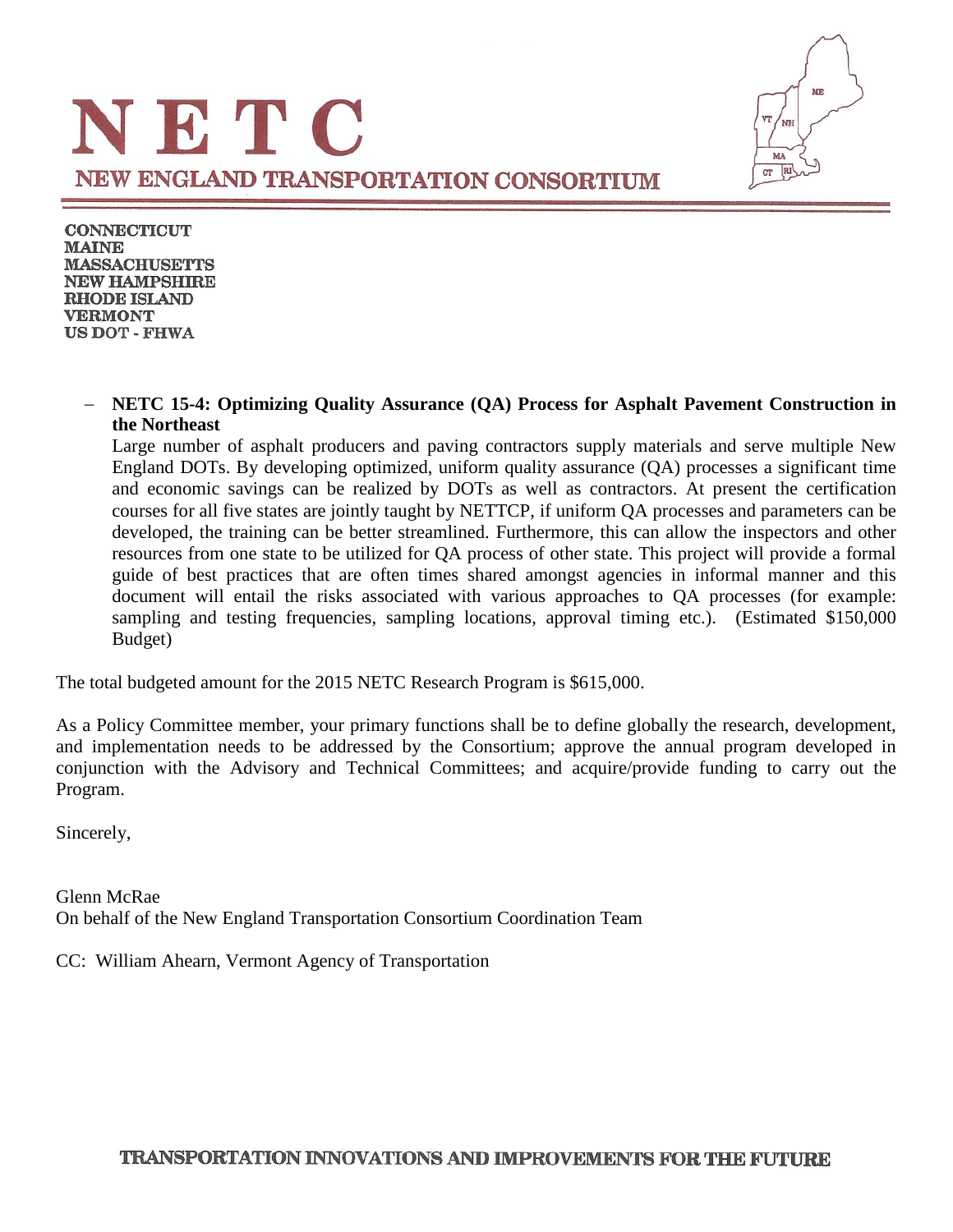

**CONNECTICUT MAINE MASSACHUSETTS NEW HAMPSHIRE RHODE ISLAND VERMONT US DOT - FHWA** 

#### − **NETC 15-4: Optimizing Quality Assurance (QA) Process for Asphalt Pavement Construction in the Northeast**

Large number of asphalt producers and paving contractors supply materials and serve multiple New England DOTs. By developing optimized, uniform quality assurance (QA) processes a significant time and economic savings can be realized by DOTs as well as contractors. At present the certification courses for all five states are jointly taught by NETTCP, if uniform QA processes and parameters can be developed, the training can be better streamlined. Furthermore, this can allow the inspectors and other resources from one state to be utilized for QA process of other state. This project will provide a formal guide of best practices that are often times shared amongst agencies in informal manner and this document will entail the risks associated with various approaches to QA processes (for example: sampling and testing frequencies, sampling locations, approval timing etc.). (Estimated \$150,000 Budget)

The total budgeted amount for the 2015 NETC Research Program is \$615,000.

As a Policy Committee member, your primary functions shall be to define globally the research, development, and implementation needs to be addressed by the Consortium; approve the annual program developed in conjunction with the Advisory and Technical Committees; and acquire/provide funding to carry out the Program.

Sincerely,

Glenn McRae On behalf of the New England Transportation Consortium Coordination Team

CC: William Ahearn, Vermont Agency of Transportation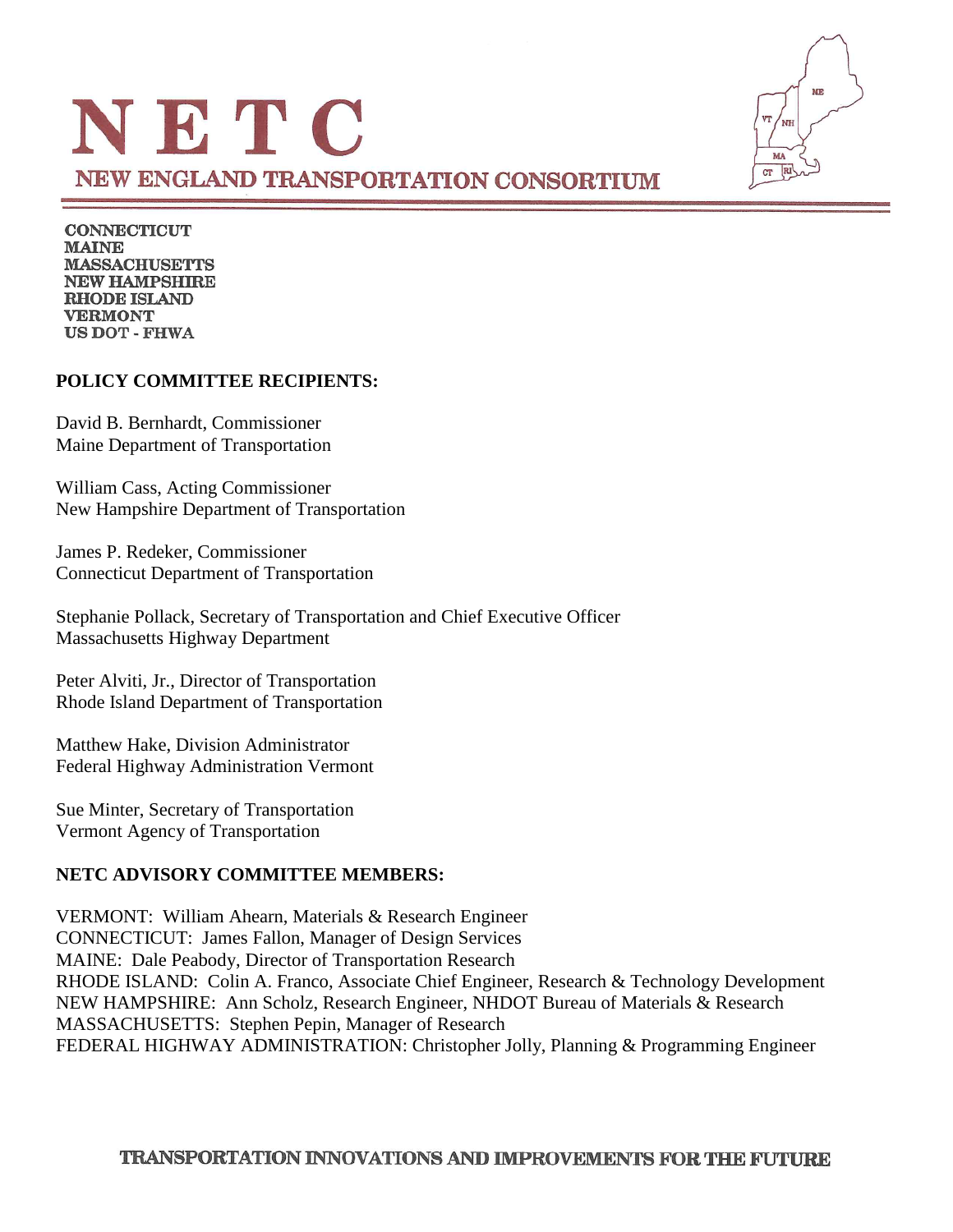

**CONNECTICUT MAINE MASSACHUSETTS NEW HAMPSHIRE RHODE ISLAND VERMONT US DOT - FHWA** 

### **POLICY COMMITTEE RECIPIENTS:**

David B. Bernhardt, Commissioner Maine Department of Transportation

William Cass, Acting Commissioner New Hampshire Department of Transportation

James P. Redeker, Commissioner Connecticut Department of Transportation

Stephanie Pollack, Secretary of Transportation and Chief Executive Officer Massachusetts Highway Department

Peter Alviti, Jr., Director of Transportation Rhode Island Department of Transportation

Matthew Hake, Division Administrator Federal Highway Administration Vermont

Sue Minter, Secretary of Transportation Vermont Agency of Transportation

### **NETC ADVISORY COMMITTEE MEMBERS:**

VERMONT: William Ahearn, Materials & Research Engineer CONNECTICUT: James Fallon, Manager of Design Services MAINE: Dale Peabody, Director of Transportation Research RHODE ISLAND: Colin A. Franco, Associate Chief Engineer, Research & Technology Development NEW HAMPSHIRE: Ann Scholz, Research Engineer, NHDOT Bureau of Materials & Research MASSACHUSETTS: Stephen Pepin, Manager of Research FEDERAL HIGHWAY ADMINISTRATION: Christopher Jolly, Planning & Programming Engineer